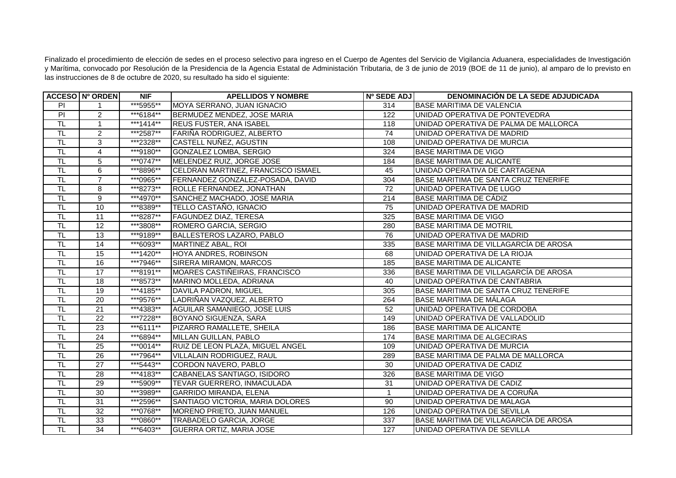Finalizado el procedimiento de elección de sedes en el proceso selectivo para ingreso en el Cuerpo de Agentes del Servicio de Vigilancia Aduanera, especialidades de Investigación y Marítima, convocado por Resolución de la Presidencia de la Agencia Estatal de Administación Tributaria, de 3 de junio de 2019 (BOE de 11 de junio), al amparo de lo previsto en las instrucciones de 8 de octubre de 2020, su resultado ha sido el siguiente:

|                           | <b>ACCESO Nº ORDEN</b> | <b>NIF</b>             | <b>APELLIDOS Y NOMBRE</b>                 | Nº SEDE ADJ     | <b>DENOMINACIÓN DE LA SEDE ADJUDICADA</b>    |
|---------------------------|------------------------|------------------------|-------------------------------------------|-----------------|----------------------------------------------|
| P                         | $\mathbf{1}$           | ***5955**              | MOYA SERRANO, JUAN IGNACIO                | 314             | <b>IBASE MARITIMA DE VALENCIA</b>            |
| $\overline{P}$            | $\overline{2}$         | ***6184**              | BERMUDEZ MENDEZ, JOSE MARIA               | 122             | UNIDAD OPERATIVA DE PONTEVEDRA               |
| $\overline{\mathsf{T}}$ L | $\mathbf{1}$           | ***1414**              | <b>REUS FUSTER, ANA ISABEL</b>            | 118             | UNIDAD OPERATIVA DE PALMA DE MALLORCA        |
| TL                        | $\overline{2}$         | ***2587**              | FARIÑA RODRIGUEZ, ALBERTO                 | $\overline{74}$ | UNIDAD OPERATIVA DE MADRID                   |
| $\overline{\sf TL}$       | $\overline{3}$         | ***2328**              | CASTELL NUÑEZ, AGUSTIN                    | 108             | UNIDAD OPERATIVA DE MURCIA                   |
| $\overline{\sf TL}$       | $\overline{4}$         | ***9180**              | GONZALEZ LOMBA, SERGIO                    | 324             | <b>BASE MARITIMA DE VIGO</b>                 |
| $\overline{\mathsf{T}}$ L | 5                      | ***0747**              | MELENDEZ RUIZ, JORGE JOSE                 | 184             | <b>BASE MARITIMA DE ALICANTE</b>             |
| TL                        | 6                      | ***8896**              | <b>CELDRAN MARTINEZ, FRANCISCO ISMAEL</b> | 45              | UNIDAD OPERATIVA DE CARTAGENA                |
| <b>TL</b>                 | $\overline{7}$         | ***0965**              | FERNANDEZ GONZALEZ-POSADA, DAVID          | 304             | BASE MARITIMA DE SANTA CRUZ TENERIFE         |
| $\overline{\mathsf{T}}$ L | 8                      | ***8273**              | ROLLE FERNANDEZ, JONATHAN                 | $\overline{72}$ | UNIDAD OPERATIVA DE LUGO                     |
| $\overline{\mathsf{T}}$ L | $\overline{9}$         | $\overline{**}$ 4970** | SANCHEZ MACHADO, JOSE MARIA               | 214             | <b>BASE MARITIMA DE CÁDIZ</b>                |
| TL                        | 10                     | ***8389**              | TELLO CASTAÑO, IGNACIO                    | 75              | UNIDAD OPERATIVA DE MADRID                   |
| $\overline{\sf TL}$       | $\overline{11}$        | ***8287**              | <b>FAGUNDEZ DIAZ, TERESA</b>              | 325             | <b>BASE MARITIMA DE VIGO</b>                 |
| $\overline{\mathsf{T}}$ L | $\overline{12}$        | ***3808**              | ROMERO GARCIA, SERGIO                     | 280             | <b>BASE MARITIMA DE MOTRIL</b>               |
| TL                        | 13                     | ***9189**              | <b>BALLESTEROS LAZARO, PABLO</b>          | 76              | UNIDAD OPERATIVA DE MADRID                   |
| $\overline{\sf TL}$       | 14                     | ***6093**              | MARTINEZ ABAL, ROI                        | 335             | BASE MARITIMA DE VILLAGARCÍA DE AROSA        |
| $\overline{\mathsf{T}}$ L | 15                     | ***1420**              | HOYA ANDRES, ROBINSON                     | 68              | UNIDAD OPERATIVA DE LA RIOJA                 |
| $\overline{\mathsf{T}}$   | 16                     | ***7946**              | <b>SIRERA MIRAMON, MARCOS</b>             | 185             | <b>BASE MARITIMA DE ALICANTE</b>             |
| TL                        | 17                     | ***8191**              | MOARES CASTIÑEIRAS, FRANCISCO             | 336             | <b>BASE MARITIMA DE VILLAGARCÍA DE AROSA</b> |
| $\overline{\sf TL}$       | $\overline{18}$        | ***8573**              | MARINO MOLLEDA, ADRIANA                   | 40              | UNIDAD OPERATIVA DE CANTABRIA                |
| $\overline{\mathsf{T}}$ L | 19                     | ***4185**              | <b>I</b> DAVILA PADRON. MIGUEL            | 305             | BASE MARITIMA DE SANTA CRUZ TENERIFE         |
| $\overline{\mathsf{TL}}$  | 20                     | ***9576**              | LADRIÑAN VAZQUEZ, ALBERTO                 | 264             | BASE MARITIMA DE MÁLAGA                      |
| $\overline{\sf TL}$       | 21                     | ***4383**              | <b>AGUILAR SAMANIEGO, JOSE LUIS</b>       | 52              | UNIDAD OPERATIVA DE CORDOBA                  |
| TL                        | 22                     | ***7228**              | BOYANO SIGUENZA, SARA                     | 149             | UNIDAD OPERATIVA DE VALLADOLID               |
| $\overline{\sf TL}$       | 23                     | ***6111**              | PIZARRO RAMALLETE, SHEILA                 | 186             | <b>I</b> BASE MARITIMA DE ALICANTE           |
| $\overline{\mathsf{T}}$ L | 24                     | ***6894**              | MILLAN GUILLAN, PABLO                     | 174             | <b>BASE MARITIMA DE ALGECIRAS</b>            |
| TL                        | 25                     | ***0014**              | RUIZ DE LEON PLAZA, MIGUEL ANGEL          | 109             | UNIDAD OPERATIVA DE MURCIA                   |
| $\overline{\mathsf{TL}}$  | 26                     | ***7964**              | VILLALAIN RODRIGUEZ, RAUL                 | 289             | BASE MARITIMA DE PALMA DE MALLORCA           |
| $\overline{\mathsf{T}}$ L | $\overline{27}$        | ***5443**              | CORDON NAVERO, PABLO                      | 30              | UNIDAD OPERATIVA DE CADIZ                    |
| <b>TL</b>                 | $\overline{28}$        | ***4183**              | CABANELAS SANTIAGO, ISIDORO               | 326             | <b>BASE MARITIMA DE VIGO</b>                 |
| TL                        | 29                     | ***5909**              | TEVAR GUERRERO, INMACULADA                | 31              | UNIDAD OPERATIVA DE CADIZ                    |
| <b>TL</b>                 | $\overline{30}$        | ***3989**              | GARRIDO MIRANDA, ELENA                    | $\mathbf{1}$    | UNIDAD OPERATIVA DE A CORUÑA                 |
| <b>TL</b>                 | 31                     | ***2596**              | SANTIAGO VICTORIA, MARIA DOLORES          | 90              | UNIDAD OPERATIVA DE MALAGA                   |
| TL                        | 32                     | ***0768**              | MORENO PRIETO, JUAN MANUEL                | 126             | UNIDAD OPERATIVA DE SEVILLA                  |
| TL                        | 33                     | ***0860**              | TRABADELO GARCIA, JORGE                   | 337             | BASE MARITIMA DE VILLAGARCIA DE AROSA        |
| T <sub>L</sub>            | 34                     | ***6403**              | <b>GUERRA ORTIZ, MARIA JOSE</b>           | 127             | UNIDAD OPERATIVA DE SEVILLA                  |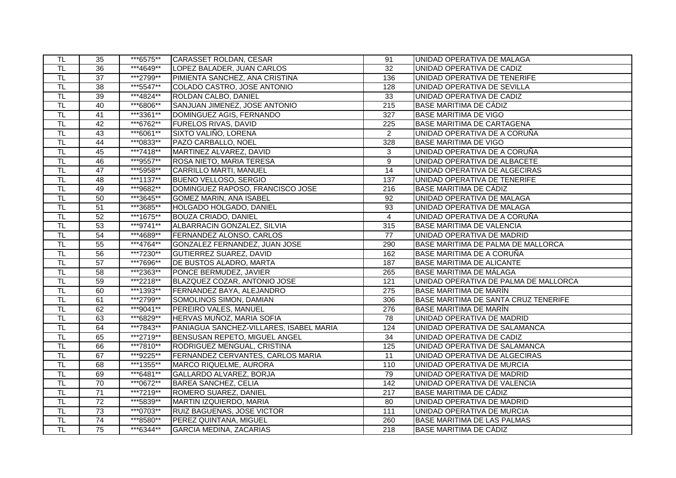| TL                        | 35              | ***6575** | CARASSET ROLDAN, CESAR                  | 91               | UNIDAD OPERATIVA DE MALAGA            |
|---------------------------|-----------------|-----------|-----------------------------------------|------------------|---------------------------------------|
| TL                        | 36              | ***4649** | LOPEZ BALADER, JUAN CARLOS              | 32               | UNIDAD OPERATIVA DE CADIZ             |
| TL                        | $\overline{37}$ | ***2799** | PIMIENTA SANCHEZ, ANA CRISTINA          | 136              | UNIDAD OPERATIVA DE TENERIFE          |
| <b>TL</b>                 | $\overline{38}$ | ***5547** | COLADO CASTRO, JOSE ANTONIO             | 128              | UNIDAD OPERATIVA DE SEVILLA           |
| TL                        | 39              | ***4824** | ROLDAN CALBO, DANIEL                    | 33               | UNIDAD OPERATIVA DE CADIZ             |
| TL                        | 40              | ***6806** | SANJUAN JIMENEZ, JOSE ANTONIO           | 215              | <b>BASE MARITIMA DE CÁDIZ</b>         |
| $\overline{\mathsf{T}}$ L | $\overline{41}$ | ***3361** | DOMINGUEZ AGIS, FERNANDO                | 327              | <b>BASE MARITIMA DE VIGO</b>          |
| TL                        | 42              | ***6762** | <b>FURELOS RIVAS, DAVID</b>             | $\overline{225}$ | <b>BASE MARITIMA DE CARTAGENA</b>     |
| TL                        | 43              | ***6061** | SIXTO VALIÑO, LORENA                    | $\overline{2}$   | UNIDAD OPERATIVA DE A CORUÑA          |
| TL                        | $\overline{44}$ | ***0833** | PAZO CARBALLO, NOEL                     | 328              | <b>BASE MARITIMA DE VIGO</b>          |
| TL                        | 45              | ***7418** | MARTINEZ ALVAREZ, DAVID                 | 3                | UNIDAD OPERATIVA DE A CORUÑA          |
| TL.                       | 46              | ***9557** | ROSA NIETO, MARIA TERESA                | 9                | UNIDAD OPERATIVA DE ALBACETE          |
| TL                        | 47              | ***5958** | <b>CARRILLO MARTI, MANUEL</b>           | $\overline{14}$  | UNIDAD OPERATIVA DE ALGECIRAS         |
| TL                        | 48              | ***1137** | <b>BUENO VELLOSO, SERGIO</b>            | 137              | UNIDAD OPERATIVA DE TENERIFE          |
| <b>TL</b>                 | 49              | ***9682** | DOMINGUEZ RAPOSO, FRANCISCO JOSE        | 216              | BASE MARITIMA DE CÁDIZ                |
| $\overline{\mathsf{TL}}$  | 50              | ***3645** | <b>GOMEZ MARIN, ANA ISABEL</b>          | 92               | UNIDAD OPERATIVA DE MALAGA            |
| TL                        | 51              | ***3685** | HOLGADO HOLGADO, DANIEL                 | 93               | UNIDAD OPERATIVA DE MALAGA            |
| $\overline{\mathsf{T}}$ L | 52              | ***1675** | <b>BOUZA CRIADO, DANIEL</b>             | $\overline{4}$   | UNIDAD OPERATIVA DE A CORUÑA          |
| $\overline{\mathsf{TL}}$  | 53              | ***9741** | ALBARRACIN GONZALEZ, SILVIA             | 315              | <b>BASE MARITIMA DE VALENCIA</b>      |
| TL                        | 54              | ***4689** | <b>FERNANDEZ ALONSO, CARLOS</b>         | 77               | UNIDAD OPERATIVA DE MADRID            |
| TL                        | 55              | ***4764** | GONZALEZ FERNANDEZ, JUAN JOSE           | 290              | BASE MARITIMA DE PALMA DE MALLORCA    |
| $\overline{\mathsf{TL}}$  | 56              | ***7230** | <b>GUTIERREZ SUAREZ, DAVID</b>          | 162              | BASE MARITIMA DE A CORUÑA             |
| TL                        | $\overline{57}$ | ***7696** | DE BUSTOS ALADRO, MARTA                 | 187              | <b>BASE MARITIMA DE ALICANTE</b>      |
| TL                        | 58              | ***2363** | PONCE BERMUDEZ, JAVIER                  | 265              | <b>BASE MARITIMA DE MÁLAGA</b>        |
| TL                        | 59              | ***2218** | BLAZQUEZ COZAR, ANTONIO JOSE            | 121              | UNIDAD OPERATIVA DE PALMA DE MALLORCA |
| TL.                       | 60              | ***1393** | FERNANDEZ BAYA, ALEJANDRO               | 275              | BASE MARITIMA DE MARÍN                |
| $\overline{\mathsf{TL}}$  | 61              | ***2799** | SOMOLINOS SIMON, DAMIAN                 | 306              | BASE MARITIMA DE SANTA CRUZ TENERIFE  |
| TL                        | 62              | ***9041** | PEREIRO VALES, MANUEL                   | 276              | <b>BASE MARITIMA DE MARIN</b>         |
| TL                        | 63              | ***6829** | HERVAS MUÑOZ, MARIA SOFIA               | 78               | UNIDAD OPERATIVA DE MADRID            |
| TL                        | 64              | ***7843** | PANIAGUA SANCHEZ-VILLARES, ISABEL MARIA | 124              | UNIDAD OPERATIVA DE SALAMANCA         |
| TL                        | 65              | ***2719** | BENSUSAN REPETO, MIGUEL ANGEL           | 34               | UNIDAD OPERATIVA DE CADIZ             |
| TL                        | 66              | ***7810** | RODRIGUEZ MENGUAL, CRISTINA             | 125              | UNIDAD OPERATIVA DE SALAMANCA         |
| $\overline{\mathsf{TL}}$  | 67              | ***9225** | FERNANDEZ CERVANTES, CARLOS MARIA       | 11               | UNIDAD OPERATIVA DE ALGECIRAS         |
| TL                        | 68              | ***1355** | MARCO RIQUELME, AURORA                  | 110              | UNIDAD OPERATIVA DE MURCIA            |
| TL                        | 69              | ***6481** | GALLARDO ALVAREZ, BORJA                 | 79               | UNIDAD OPERATIVA DE MADRID            |
| $\overline{\sf TL}$       | $\overline{70}$ | ***0672** | <b>BAREA SANCHEZ, CELIA</b>             | 142              | UNIDAD OPERATIVA DE VALENCIA          |
| TL                        | $\overline{71}$ | ***7219** | ROMERO SUAREZ, DANIEL                   | 217              | <b>BASE MARITIMA DE CÁDIZ</b>         |
| TL.                       | $\overline{72}$ | ***5839** | MARTIN IZQUIERDO, MARIA                 | 80               | UNIDAD OPERATIVA DE MADRID            |
| TL                        | 73              | ***0703** | <b>RUIZ BAGUENAS, JOSE VICTOR</b>       | 111              | UNIDAD OPERATIVA DE MURCIA            |
| TL                        | $\overline{74}$ | ***8580** | PEREZ QUINTANA, MIGUEL                  | 260              | <b>BASE MARITIMA DE LAS PALMAS</b>    |
| $\overline{\mathsf{T}}$ L | 75              | ***6344** | <b>GARCIA MEDINA, ZACARIAS</b>          | 218              | <b>BASE MARITIMA DE CÁDIZ</b>         |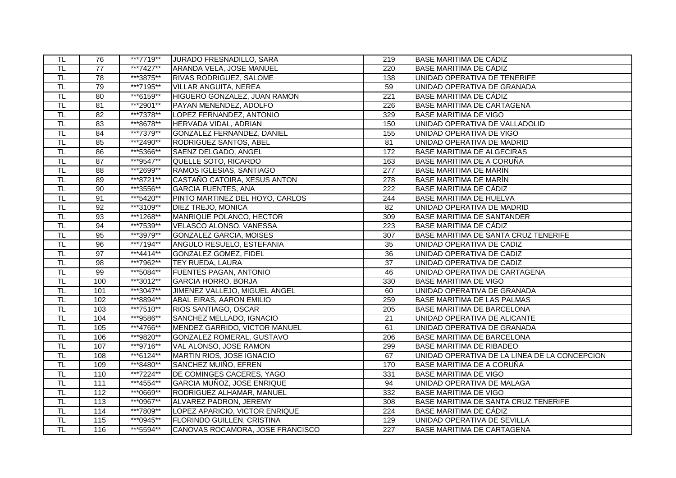| TL.                       | 76               | ***7719** | JURADO FRESNADILLO, SARA          | 219              | BASE MARITIMA DE CÁDIZ                        |
|---------------------------|------------------|-----------|-----------------------------------|------------------|-----------------------------------------------|
| TL                        | $\overline{77}$  | ***7427** | <b>ARANDA VELA, JOSE MANUEL</b>   | 220              | <b>BASE MARITIMA DE CÁDIZ</b>                 |
| $\overline{\mathsf{T}}$ L | 78               | ***3875** | <b>RIVAS RODRIGUEZ, SALOME</b>    | 138              | UNIDAD OPERATIVA DE TENERIFE                  |
| $\overline{\mathsf{TL}}$  | 79               | ***7195** | <b>VILLAR ANGUITA, NEREA</b>      | 59               | UNIDAD OPERATIVA DE GRANADA                   |
| TL                        | 80               | ***6159** | HIGUERO GONZALEZ, JUAN RAMON      | 221              | <b>BASE MARITIMA DE CÁDIZ</b>                 |
| TL                        | 81               | ***2901** | PAYAN MENENDEZ, ADOLFO            | 226              | <b>BASE MARITIMA DE CARTAGENA</b>             |
| $\overline{\sf TL}$       | $\overline{82}$  | ***7378** | LOPEZ FERNANDEZ, ANTONIO          | 329              | <b>BASE MARITIMA DE VIGO</b>                  |
| $\overline{\mathsf{TL}}$  | 83               | ***8678** | HERVADA VIDAL, ADRIAN             | 150              | UNIDAD OPERATIVA DE VALLADOLID                |
| TL                        | 84               | ***7379** | <b>GONZALEZ FERNANDEZ, DANIEL</b> | 155              | UNIDAD OPERATIVA DE VIGO                      |
| TL                        | 85               | ***2490** | RODRIGUEZ SANTOS, ABEL            | 81               | UNIDAD OPERATIVA DE MADRID                    |
| $\overline{\sf TL}$       | 86               | ***5366** | SAENZ DELGADO, ANGEL              | 172              | BASE MARITIMA DE ALGECIRAS                    |
| $\overline{\mathsf{T}}$ L | $\overline{87}$  | ***9547** | QUELLE SOTO, RICARDO              | 163              | BASE MARITIMA DE A CORUÑA                     |
| $\overline{\sf TL}$       | 88               | ***2699** | RAMOS IGLESIAS, SANTIAGO          | 277              | <b>BASE MARITIMA DE MARÍN</b>                 |
| TL                        | 89               | ***8721** | CASTAÑO CATOIRA, XESUS ANTON      | 278              | <b>BASE MARITIMA DE MARÍN</b>                 |
| <b>TL</b>                 | $\overline{90}$  | ***3556** | <b>GARCIA FUENTES, ANA</b>        | 222              | <b>BASE MARITIMA DE CÁDIZ</b>                 |
| $\overline{\mathsf{TL}}$  | 91               | ***5420** | PINTO MARTINEZ DEL HOYO, CARLOS   | $\overline{244}$ | <b>BASE MARITIMA DE HUELVA</b>                |
| TL                        | 92               | ***3109** | <b>DIEZ TREJO, MONICA</b>         | 82               | UNIDAD OPERATIVA DE MADRID                    |
| <b>TL</b>                 | 93               | ***1268** | MANRIQUE POLANCO, HECTOR          | 309              | <b>BASE MARITIMA DE SANTANDER</b>             |
| $\overline{\mathsf{TL}}$  | 94               | ***7539** | VELASCO ALONSO, VANESSA           | $\overline{223}$ | <b>BASE MARITIMA DE CÁDIZ</b>                 |
| TL                        | 95               | ***3979** | <b>GONZALEZ GARCIA, MOISES</b>    | 307              | BASE MARITIMA DE SANTA CRUZ TENERIFE          |
| $\overline{\sf TL}$       | 96               | ***7194** | ANGULO RESUELO, ESTEFANIA         | 35               | UNIDAD OPERATIVA DE CADIZ                     |
| $\overline{\sf TL}$       | $\overline{97}$  | ***4414** | GONZALEZ GOMEZ, FIDEL             | $\overline{36}$  | UNIDAD OPERATIVA DE CADIZ                     |
| T <sub>L</sub>            | $\overline{98}$  | ***7962** | <b>TEY RUEDA, LAURA</b>           | $\overline{37}$  | UNIDAD OPERATIVA DE CADIZ                     |
| $\overline{\sf TL}$       | 99               | ***5084** | <b>FUENTES PAGAN, ANTONIO</b>     | 46               | UNIDAD OPERATIVA DE CARTAGENA                 |
| TL                        | 100              | ***3012** | <b>GARCIA HORRO, BORJA</b>        | 330              | <b>BASE MARITIMA DE VIGO</b>                  |
| $\overline{\mathsf{T}}$ L | 101              | ***3047** | JIMENEZ VALLEJO, MIGUEL ANGEL     | 60               | UNIDAD OPERATIVA DE GRANADA                   |
| $\overline{\mathsf{TL}}$  | 102              | ***8894** | ABAL EIRAS, AARON EMILIO          | 259              | <b>BASE MARITIMA DE LAS PALMAS</b>            |
| TL                        | 103              | ***7510** | RIOS SANTIAGO, OSCAR              | 205              | <b>BASE MARITIMA DE BARCELONA</b>             |
| TL                        | 104              | ***9586** | SANCHEZ MELLADO, IGNACIO          | 21               | UNIDAD OPERATIVA DE ALICANTE                  |
| $\overline{\mathsf{TL}}$  | 105              | ***4766** | MENDEZ GARRIDO, VICTOR MANUEL     | 61               | UNIDAD OPERATIVA DE GRANADA                   |
| $\overline{\mathsf{TL}}$  | 106              | ***9820** | GONZALEZ ROMERAL, GUSTAVO         | 206              | <b>BASE MARITIMA DE BARCELONA</b>             |
| $\overline{\mathsf{TL}}$  | 107              | ***9716** | VAL ALONSO, JOSE RAMON            | 299              | <b>BASE MARITIMA DE RIBADEO</b>               |
| $\overline{\mathsf{TL}}$  | 108              | ***6124** | MARTIN RIOS, JOSE IGNACIO         | 67               | UNIDAD OPERATIVA DE LA LINEA DE LA CONCEPCION |
| $\overline{\mathsf{T}}$ L | 109              | ***8480** | SANCHEZ MUIÑO, EFREN              | 170              | BASE MARITIMA DE A CORUÑA                     |
| $\overline{\mathsf{TL}}$  | 110              | ***7224** | DE COMINGES CACERES, YAGO         | 331              | <b>BASE MARITIMA DE VIGO</b>                  |
| $\overline{\sf TL}$       | 111              | ***4554** | GARCIA MUÑOZ, JOSE ENRIQUE        | 94               | UNIDAD OPERATIVA DE MALAGA                    |
| <b>TL</b>                 | 112              | ***0669** | RODRIGUEZ ALHAMAR, MANUEL         | 332              | <b>BASE MARITIMA DE VIGO</b>                  |
| $\overline{\mathsf{TL}}$  | $\overline{113}$ | ***0967** | ALVAREZ PADRON, JEREMY            | 308              | BASE MARITIMA DE SANTA CRUZ TENERIFE          |
| TL                        | 114              | ***7809** | LOPEZ APARICIO, VICTOR ENRIQUE    | 224              | BASE MARITIMA DE CADIZ                        |
| $\overline{\sf TL}$       | 115              | ***0945** | <b>FLORINDO GUILLEN, CRISTINA</b> | 129              | UNIDAD OPERATIVA DE SEVILLA                   |
| $\overline{\sf TL}$       | 116              | ***5594** | CANOVAS ROCAMORA, JOSE FRANCISCO  | 227              | <b>BASE MARITIMA DE CARTAGENA</b>             |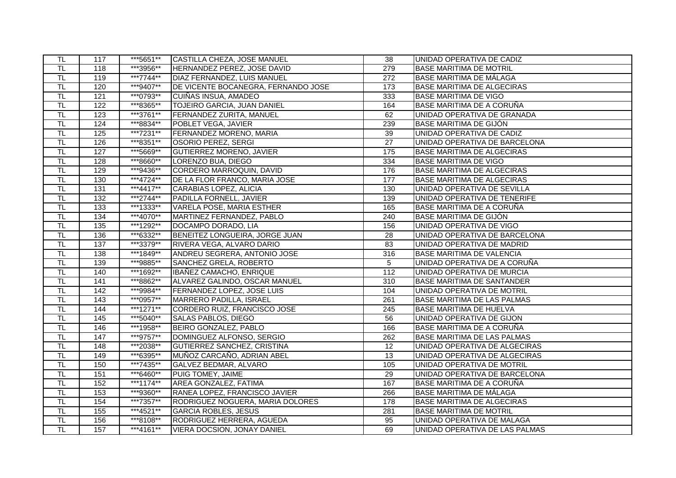| TL.                       | 117              | ***5651** | CASTILLA CHEZA, JOSE MANUEL         | 38                | UNIDAD OPERATIVA DE CADIZ          |
|---------------------------|------------------|-----------|-------------------------------------|-------------------|------------------------------------|
| TL                        | 118              | ***3956** | HERNANDEZ PEREZ, JOSE DAVID         | 279               | <b>BASE MARITIMA DE MOTRIL</b>     |
| TL                        | 119              | ***7744** | DIAZ FERNANDEZ, LUIS MANUEL         | 272               | <b>BASE MARITIMA DE MÁLAGA</b>     |
| TL.                       | 120              | ***9407** | DE VICENTE BOCANEGRA, FERNANDO JOSE | 173               | <b>BASE MARITIMA DE ALGECIRAS</b>  |
| $\overline{\sf TL}$       | 121              | ***0793** | CUIÑAS INSUA, AMADEO                | 333               | <b>BASE MARITIMA DE VIGO</b>       |
| TL                        | 122              | ***8365** | TOJEIRO GARCIA, JUAN DANIEL         | 164               | BASE MARITIMA DE A CORUÑA          |
| $\overline{\mathsf{TL}}$  | 123              | ***3761** | FERNANDEZ ZURITA, MANUEL            | 62                | UNIDAD OPERATIVA DE GRANADA        |
| $\overline{\mathsf{TL}}$  | 124              | ***8834** | POBLET VEGA, JAVIER                 | 239               | BASE MARITIMA DE GIJÓN             |
| TL                        | 125              | ***7231** | FERNANDEZ MORENO, MARIA             | 39                | UNIDAD OPERATIVA DE CADIZ          |
| TL                        | 126              | ***8351** | <b>OSORIO PEREZ, SERGI</b>          | 27                | UNIDAD OPERATIVA DE BARCELONA      |
| $\overline{\mathsf{TL}}$  | 127              | ***5669** | <b>GUTIERREZ MORENO, JAVIER</b>     | $\frac{175}{2}$   | <b>BASE MARITIMA DE ALGECIRAS</b>  |
| TL                        | 128              | ***8660** | LORENZO BUA, DIEGO                  | 334               | <b>BASE MARITIMA DE VIGO</b>       |
| TL                        | 129              | ***9436** | CORDERO MARROQUIN, DAVID            | 176               | <b>BASE MARITIMA DE ALGECIRAS</b>  |
| TL                        | 130              | ***4724** | DE LA FLOR FRANCO, MARIA JOSE       | 177               | <b>BASE MARITIMA DE ALGECIRAS</b>  |
| TL                        | $\overline{131}$ | ***4417** | CARABIAS LOPEZ, ALICIA              | 130               | UNIDAD OPERATIVA DE SEVILLA        |
| $\overline{\mathsf{TL}}$  | 132              | ***2744** | PADILLA FORNELL, JAVIER             | 139               | UNIDAD OPERATIVA DE TENERIFE       |
| TL                        | 133              | ***1333** | <b>VARELA POSE, MARIA ESTHER</b>    | 165               | BASE MARITIMA DE A CORUÑA          |
| $\overline{\mathsf{T}}$ L | $\frac{1}{134}$  | ***4070** | MARTINEZ FERNANDEZ, PABLO           | 240               | BASE MARITIMA DE GIJÓN             |
| TL                        | 135              | ***1292** | DOCAMPO DORADO, LIA                 | 156               | UNIDAD OPERATIVA DE VIGO           |
| TL                        | 136              | ***6332** | BENEITEZ LONGUEIRA, JORGE JUAN      | 28                | UNIDAD OPERATIVA DE BARCELONA      |
| TL                        | 137              | ***3379** | RIVERA VEGA, ALVARO DARIO           | 83                | UNIDAD OPERATIVA DE MADRID         |
| $\overline{\mathsf{TL}}$  | 138              | ***1849** | ANDREU SEGRERA, ANTONIO JOSE        | 316               | BASE MARITIMA DE VALENCIA          |
| $\overline{\mathsf{T}}$ L | 139              | ***9885** | SANCHEZ GRELA, ROBERTO              | 5                 | UNIDAD OPERATIVA DE A CORUÑA       |
| TL                        | 140              | ***1692** | IBAÑEZ CAMACHO, ENRIQUE             | 112               | UNIDAD OPERATIVA DE MURCIA         |
| $\overline{\sf TL}$       | 141              | ***8862** | ALVAREZ GALINDO, OSCAR MANUEL       | 310               | <b>BASE MARITIMA DE SANTANDER</b>  |
| TL.                       | 142              | ***9984** | <b>FERNANDEZ LOPEZ, JOSE LUIS</b>   | 104               | UNIDAD OPERATIVA DE MOTRIL         |
| $\overline{\mathsf{TL}}$  | 143              | ***0957** | MARRERO PADILLA, ISRAEL             | 261               | BASE MARITIMA DE LAS PALMAS        |
| TL                        | 144              | ***1271** | CORDERO RUIZ, FRANCISCO JOSE        | 245               | BASE MARITIMA DE HUELVA            |
| TL                        | 145              | ***5040** | <b>SALAS PABLOS, DIEGO</b>          | 56                | UNIDAD OPERATIVA DE GIJON          |
| $\overline{\mathsf{T}}$ L | 146              | ***1958** | BEIRO GONZALEZ, PABLO               | 166               | BASE MARITIMA DE A CORUÑA          |
| $\overline{\mathsf{TL}}$  | 147              | ***9757** | DOMINGUEZ ALFONSO, SERGIO           | 262               | <b>BASE MARITIMA DE LAS PALMAS</b> |
| TL                        | 148              | ***2038** | <b>GUTIERREZ SANCHEZ, CRISTINA</b>  | 12                | UNIDAD OPERATIVA DE ALGECIRAS      |
| TL                        | 149              | ***6395** | MUÑOZ CARCAÑO, ADRIAN ABEL          | $\overline{13}$   | UNIDAD OPERATIVA DE ALGECIRAS      |
| TL                        | 150              | ***7435** | GALVEZ BEDMAR, ALVARO               | $\frac{105}{105}$ | UNIDAD OPERATIVA DE MOTRIL         |
| $\overline{\mathsf{TL}}$  | 151              | ***6460** | PUIG TOMEY, JAIME                   | 29                | UNIDAD OPERATIVA DE BARCELONA      |
| TL                        | 152              | ***1174** | AREA GONZALEZ, FATIMA               | 167               | BASE MARITIMA DE A CORUÑA          |
| TL                        | 153              | ***9360** | RANEA LOPEZ, FRANCISCO JAVIER       | 266               | BASE MARITIMA DE MÁLAGA            |
| $\overline{\mathsf{TL}}$  | 154              | ***7357** | RODRIGUEZ NOGUERA, MARIA DOLORES    | 178               | <b>BASE MARITIMA DE ALGECIRAS</b>  |
| TL                        | 155              | ***4521** | <b>GARCIA ROBLES, JESUS</b>         | 281               | <b>BASE MARITIMA DE MOTRIL</b>     |
| $\overline{\mathsf{L}}$   | 156              | ***8108** | RODRIGUEZ HERRERA, AGUEDA           | 95                | UNIDAD OPERATIVA DE MALAGA         |
| $\overline{\mathsf{T}}$ L | 157              | ***4161** | VIERA DOCSION, JONAY DANIEL         | 69                | UNIDAD OPERATIVA DE LAS PALMAS     |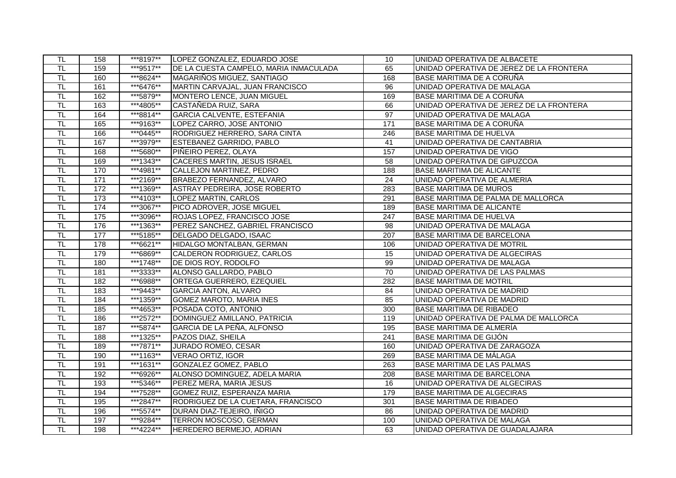| TL                        | 158 | ***8197** | LOPEZ GONZALEZ, EDUARDO JOSE           | 10               | UNIDAD OPERATIVA DE ALBACETE             |
|---------------------------|-----|-----------|----------------------------------------|------------------|------------------------------------------|
| TL                        | 159 | ***9517** | DE LA CUESTA CAMPELO, MARIA INMACULADA | 65               | UNIDAD OPERATIVA DE JEREZ DE LA FRONTERA |
| TL                        | 160 | ***8624** | MAGARIÑOS MIGUEZ, SANTIAGO             | 168              | BASE MARITIMA DE A CORUÑA                |
| <b>TL</b>                 | 161 | ***6476** | MARTIN CARVAJAL, JUAN FRANCISCO        | 96               | UNIDAD OPERATIVA DE MALAGA               |
| TL                        | 162 | ***5879** | MONTERO LENCE, JUAN MIGUEL             | 169              | BASE MARITIMA DE A CORUÑA                |
| TL                        | 163 | ***4805** | CASTAÑEDA RUIZ, SARA                   | 66               | UNIDAD OPERATIVA DE JEREZ DE LA FRONTERA |
| $\overline{\mathsf{T}}$ L | 164 | ***8814** | GARCIA CALVENTE, ESTEFANIA             | 97               | UNIDAD OPERATIVA DE MALAGA               |
| $\overline{\mathsf{TL}}$  | 165 | ***9163** | LOPEZ CARRO, JOSE ANTONIO              | $\overline{171}$ | BASE MARITIMA DE A CORUÑA                |
| TL.                       | 166 | ***0445** | RODRIGUEZ HERRERO, SARA CINTA          | 246              | <b>BASE MARITIMA DE HUELVA</b>           |
| $\overline{\mathsf{L}}$   | 167 | ***3979** | <b>ESTEBANEZ GARRIDO, PABLO</b>        | 41               | UNIDAD OPERATIVA DE CANTABRIA            |
| $\overline{\mathsf{T}}$ L | 168 | ***5680** | PIÑEIRO PEREZ, OLAYA                   | 157              | UNIDAD OPERATIVA DE VIGO                 |
| TL                        | 169 | ***1343** | CACERES MARTIN, JESUS ISRAEL           | $\overline{58}$  | UNIDAD OPERATIVA DE GIPUZCOA             |
| $\overline{\sf TL}$       | 170 | ***4981** | CALLEJON MARTINEZ, PEDRO               | 188              | <b>BASE MARITIMA DE ALICANTE</b>         |
| TL                        | 171 | ***2169** | BRABEZO FERNANDEZ, ALVARO              | 24               | UNIDAD OPERATIVA DE ALMERIA              |
| <b>TL</b>                 | 172 | ***1369** | ASTRAY PEDREIRA, JOSE ROBERTO          | 283              | <b>BASE MARITIMA DE MUROS</b>            |
| $\overline{\mathsf{T}}$ L | 173 | ***4103** | LOPEZ MARTIN, CARLOS                   | 291              | BASE MARITIMA DE PALMA DE MALLORCA       |
| TL                        | 174 | ***3067** | PICO ADROVER, JOSE MIGUEL              | 189              | <b>BASE MARITIMA DE ALICANTE</b>         |
| $\overline{\mathsf{T}}$ L | 175 | ***3096** | ROJAS LOPEZ, FRANCISCO JOSE            | 247              | <b>BASE MARITIMA DE HUELVA</b>           |
| $\overline{\mathsf{T}}$   | 176 | ***1363** | PEREZ SANCHEZ, GABRIEL FRANCISCO       | 98               | UNIDAD OPERATIVA DE MALAGA               |
| TL                        | 177 | ***5185** | DELGADO DELGADO, ISAAC                 | 207              | BASE MARITIMA DE BARCELONA               |
| TL                        | 178 | ***6621** | <b>HIDALGO MONTALBAN, GERMAN</b>       | 106              | UNIDAD OPERATIVA DE MOTRIL               |
| $\overline{\mathsf{T}}$ L | 179 | ***6869** | CALDERON RODRIGUEZ, CARLOS             | 15               | UNIDAD OPERATIVA DE ALGECIRAS            |
| TL                        | 180 | ***1748** | DE DIOS ROY, RODOLFO                   | 99               | UNIDAD OPERATIVA DE MALAGA               |
| $\overline{\sf TL}$       | 181 | ***3333** | ALONSO GALLARDO, PABLO                 | 70               | UNIDAD OPERATIVA DE LAS PALMAS           |
| TL                        | 182 | ***6988** | <b>ORTEGA GUERRERO, EZEQUIEL</b>       | 282              | <b>BASE MARITIMA DE MOTRIL</b>           |
| TL.                       | 183 | ***9443** | <b>GARCIA ANTON, ALVARO</b>            | 84               | UNIDAD OPERATIVA DE MADRID               |
| $\overline{\mathsf{TL}}$  | 184 | ***1359** | <b>GOMEZ MAROTO, MARIA INES</b>        | 85               | UNIDAD OPERATIVA DE MADRID               |
| TL                        | 185 | ***4653** | POSADA COTO, ANTONIO                   | 300              | <b>BASE MARITIMA DE RIBADEO</b>          |
| TL                        | 186 | ***2572** | DOMINGUEZ AMILLANO, PATRICIA           | 119              | UNIDAD OPERATIVA DE PALMA DE MALLORCA    |
| $\overline{\mathsf{T}}$ L | 187 | ***5874** | GARCIA DE LA PEÑA, ALFONSO             | 195              | BASE MARITIMA DE ALMERÍA                 |
| TL                        | 188 | ***1325** | PAZOS DIAZ, SHEILA                     | $\overline{241}$ | BASE MARITIMA DE GIJÓN                   |
| TL                        | 189 | ***7871** | <b>JURADO ROMEO, CESAR</b>             | 160              | UNIDAD OPERATIVA DE ZARAGOZA             |
| $\overline{\mathsf{TL}}$  | 190 | ***1163** | VERAO ORTIZ, IGOR                      | 269              | <b>BASE MARITIMA DE MÁLAGA</b>           |
| $\overline{\mathsf{T}}$ L | 191 | ***1631** | GONZALEZ GOMEZ, PABLO                  | $\overline{263}$ | <b>BASE MARITIMA DE LAS PALMAS</b>       |
| $\overline{\mathsf{TL}}$  | 192 | ***6926** | ALONSO DOMINGUEZ, ADELA MARIA          | $\overline{208}$ | <b>BASE MARITIMA DE BARCELONA</b>        |
| TL                        | 193 | ***5346** | PEREZ MERA, MARIA JESUS                | 16               | UNIDAD OPERATIVA DE ALGECIRAS            |
| $\overline{\mathsf{TL}}$  | 194 | ***7528** | GOMEZ RUIZ, ESPERANZA MARIA            | 179              | <b>BASE MARITIMA DE ALGECIRAS</b>        |
| <b>TL</b>                 | 195 | ***2847** | RODRIGUEZ DE LA CUETARA, FRANCISCO     | 301              | <b>BASE MARITIMA DE RIBADEO</b>          |
| TL                        | 196 | ***5574** | DURAN DIAZ-TEJEIRO, IÑIGO              | 86               | UNIDAD OPERATIVA DE MADRID               |
| TL                        | 197 | ***9284** | TERRON MOSCOSO, GERMAN                 | 100              | UNIDAD OPERATIVA DE MALAGA               |
| $\overline{\mathsf{T}}$ L | 198 | ***4224** | HEREDERO BERMEJO, ADRIAN               | 63               | UNIDAD OPERATIVA DE GUADALAJARA          |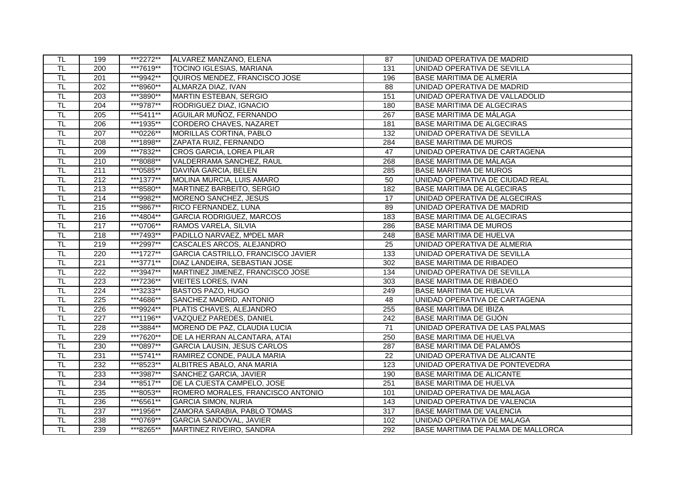| TL.                       | 199              | ***2272** | ALVAREZ MANZANO, ELENA             | 87               | UNIDAD OPERATIVA DE MADRID         |
|---------------------------|------------------|-----------|------------------------------------|------------------|------------------------------------|
| $\overline{\sf TL}$       | 200              | ***7619** | <b>TOCINO IGLESIAS, MARIANA</b>    | 131              | UNIDAD OPERATIVA DE SEVILLA        |
| $\overline{\mathsf{T}}$ L | $\overline{201}$ | ***9942** | QUIROS MENDEZ, FRANCISCO JOSE      | 196              | BASE MARITIMA DE ALMERÍA           |
| <b>TL</b>                 | 202              | ***8960** | ALMARZA DIAZ, IVAN                 | 88               | UNIDAD OPERATIVA DE MADRID         |
| $\overline{\mathsf{L}}$   | 203              | ***3890** | MARTIN ESTEBAN, SERGIO             | 151              | UNIDAD OPERATIVA DE VALLADOLID     |
| TL                        | 204              | ***9787** | RODRIGUEZ DIAZ, IGNACIO            | 180              | <b>BASE MARITIMA DE ALGECIRAS</b>  |
| $\overline{\mathsf{TL}}$  | $\overline{205}$ | ***5411** | AGUILAR MUÑOZ, FERNANDO            | 267              | BASE MARITIMA DE MÁLAGA            |
| $\overline{\mathsf{T}}$   | $\overline{206}$ | ***1935** | CORDERO CHAVES, NAZARET            | 181              | <b>BASE MARITIMA DE ALGECIRAS</b>  |
| TL                        | 207              | ***0226** | MORILLAS CORTINA, PABLO            | 132              | UNIDAD OPERATIVA DE SEVILLA        |
| $\overline{\mathsf{L}}$   | 208              | ***1898** | ZAPATA RUIZ, FERNANDO              | 284              | <b>BASE MARITIMA DE MUROS</b>      |
| $\overline{\mathsf{TL}}$  | 209              | ***7832** | CROS GARCIA, LOREA PILAR           | 47               | UNIDAD OPERATIVA DE CARTAGENA      |
| $\overline{\mathsf{TL}}$  | $\overline{210}$ | ***8088** | VALDERRAMA SANCHEZ, RAUL           | 268              | BASE MARITIMA DE MÁLAGA            |
| TL                        | 211              | ***0585** | DAVIÑA GARCIA, BELEN               | 285              | <b>BASE MARITIMA DE MUROS</b>      |
| $\overline{\mathsf{L}}$   | 212              | ***1377** | MOLINA MURCIA, LUIS AMARO          | 50               | UNIDAD OPERATIVA DE CIUDAD REAL    |
| TL                        | $\overline{213}$ | ***8580** | MARTINEZ BARBEITO, SERGIO          | 182              | <b>BASE MARITIMA DE ALGECIRAS</b>  |
| $\overline{\mathsf{TL}}$  | 214              | ***9982** | MORENO SANCHEZ, JESUS              | 17               | UNIDAD OPERATIVA DE ALGECIRAS      |
| TL                        | 215              | ***9867** | RICO FERNANDEZ, LUNA               | 89               | UNIDAD OPERATIVA DE MADRID         |
| $\overline{\mathsf{T}}$ L | $\overline{216}$ | ***4804** | <b>GARCIA RODRIGUEZ, MARCOS</b>    | 183              | <b>BASE MARITIMA DE ALGECIRAS</b>  |
| T <sub>L</sub>            | $\overline{217}$ | ***0706** | RAMOS VARELA, SILVIA               | 286              | <b>BASE MARITIMA DE MUROS</b>      |
| TL                        | 218              | ***7493** | PADILLO NARVAEZ, MªDEL MAR         | 248              | <b>BASE MARITIMA DE HUELVA</b>     |
| TL                        | 219              | ***2997** | CASCALES ARCOS, ALEJANDRO          | 25               | UNIDAD OPERATIVA DE ALMERIA        |
| $\overline{\mathsf{TL}}$  | 220              | ***1727** | GARCIA CASTRILLO, FRANCISCO JAVIER | 133              | UNIDAD OPERATIVA DE SEVILLA        |
| $\overline{\mathsf{T}}$ L | $\overline{221}$ | ***3771** | DIAZ LANDEIRA, SEBASTIAN JOSE      | 302              | <b>BASE MARITIMA DE RIBADEO</b>    |
| $\overline{\mathsf{L}}$   | $\overline{222}$ | ***3947** | MARTINEZ JIMENEZ, FRANCISCO JOSE   | 134              | UNIDAD OPERATIVA DE SEVILLA        |
| $\overline{\sf TL}$       | 223              | ***7236** | <b>VIEITES LORES, IVAN</b>         | 303              | <b>BASE MARITIMA DE RIBADEO</b>    |
| <b>TL</b>                 | $\overline{224}$ | ***3233** | <b>BASTOS PAZO, HUGO</b>           | 249              | <b>BASE MARITIMA DE HUELVA</b>     |
| $\overline{\mathsf{TL}}$  | 225              | ***4686** | SANCHEZ MADRID, ANTONIO            | 48               | UNIDAD OPERATIVA DE CARTAGENA      |
| TL                        | 226              | ***9924** | PLATIS CHAVES, ALEJANDRO           | 255              | <b>BASE MARITIMA DE IBIZA</b>      |
| TL                        | $\overline{227}$ | ***1196** | <b>VAZQUEZ PAREDES, DANIEL</b>     | 242              | BASE MARITIMA DE GIJÓN             |
| $\overline{\mathsf{T}}$ L | $\overline{228}$ | ***3884** | MORENO DE PAZ, CLAUDIA LUCIA       | $\overline{71}$  | UNIDAD OPERATIVA DE LAS PALMAS     |
| $\overline{\mathsf{TL}}$  | 229              | ***7620** | DE LA HERRAN ALCANTARA, ATAI       | 250              | <b>BASE MARITIMA DE HUELVA</b>     |
| TL                        | 230              | ***0897** | <b>GARCIA LAUSIN, JESUS CARLOS</b> | 287              | BASE MARITIMA DE PALAMÓS           |
| $\overline{\mathsf{TL}}$  | 231              | ***5741** | RAMIREZ CONDE, PAULA MARIA         | $\overline{22}$  | UNIDAD OPERATIVA DE ALICANTE       |
| $\overline{\mathsf{TL}}$  | 232              | ***8523** | ALBITRES ABALO, ANA MARIA          | $\overline{123}$ | UNIDAD OPERATIVA DE PONTEVEDRA     |
| $\overline{\mathsf{TL}}$  | 233              | ***3987** | SANCHEZ GARCIA, JAVIER             | 190              | <b>BASE MARITIMA DE ALICANTE</b>   |
| $\overline{\mathsf{L}}$   | 234              | ***8517** | DE LA CUESTA CAMPELO, JOSE         | 251              | <b>BASE MARITIMA DE HUELVA</b>     |
| TL                        | 235              | ***8053** | ROMERO MORALES, FRANCISCO ANTONIO  | 101              | UNIDAD OPERATIVA DE MALAGA         |
| $\overline{\mathsf{TL}}$  | 236              | ***6561** | <b>GARCIA SIMON, NURIA</b>         | 143              | UNIDAD OPERATIVA DE VALENCIA       |
| $\overline{\mathsf{L}}$   | 237              | ***1956** | ZAMORA SARABIA, PABLO TOMAS        | 317              | <b>BASE MARITIMA DE VALENCIA</b>   |
| $\overline{\mathsf{L}}$   | 238              | ***0769** | <b>GARCIA SANDOVAL, JAVIER</b>     | 102              | UNIDAD OPERATIVA DE MALAGA         |
| TL                        | 239              | ***8265** | MARTINEZ RIVEIRO, SANDRA           | 292              | BASE MARITIMA DE PALMA DE MALLORCA |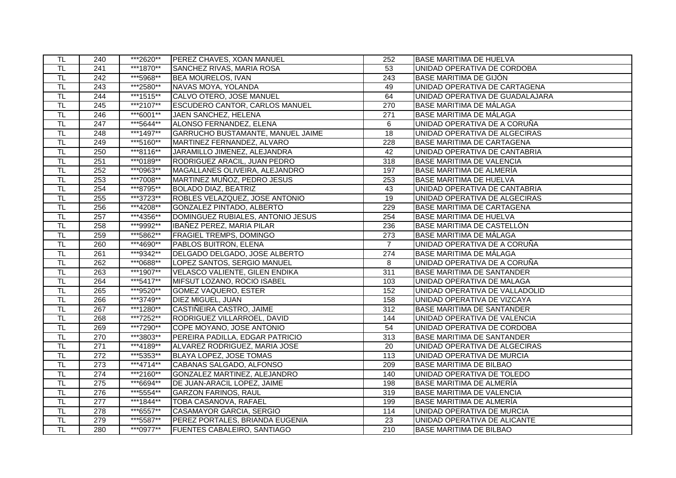| <b>TL</b>                 | 240              | ***2620** | <b>PEREZ CHAVES, XOAN MANUEL</b>         | 252              | <b>BASE MARITIMA DE HUELVA</b>    |
|---------------------------|------------------|-----------|------------------------------------------|------------------|-----------------------------------|
| TL                        | 241              | ***1870** | <b>SANCHEZ RIVAS, MARIA ROSA</b>         | 53               | UNIDAD OPERATIVA DE CORDOBA       |
| $\overline{\mathsf{T}}$ L | $\overline{242}$ | ***5968** | <b>BEA MOURELOS, IVAN</b>                | 243              | BASE MARITIMA DE GIJÓN            |
| <b>TL</b>                 | $\overline{243}$ | ***2580** | NAVAS MOYA, YOLANDA                      | 49               | UNIDAD OPERATIVA DE CARTAGENA     |
| TL                        | 244              | ***1515** | CALVO OTERO, JOSE MANUEL                 | 64               | UNIDAD OPERATIVA DE GUADALAJARA   |
| TL                        | $\overline{245}$ | ***2107** | <b>ESCUDERO CANTOR, CARLOS MANUEL</b>    | 270              | <b>BASE MARITIMA DE MÁLAGA</b>    |
| $\overline{\mathsf{T}}$ L | 246              | ***6001** | JAEN SANCHEZ, HELENA                     | $\overline{271}$ | BASE MARITIMA DE MÁLAGA           |
| $\overline{\mathsf{TL}}$  | $\overline{247}$ | ***5644** | ALONSO FERNANDEZ, ELENA                  | 6                | UNIDAD OPERATIVA DE A CORUÑA      |
| <b>TL</b>                 | 248              | ***1497** | <b>GARRUCHO BUSTAMANTE, MANUEL JAIME</b> | $\overline{18}$  | UNIDAD OPERATIVA DE ALGECIRAS     |
| TL                        | 249              | ***5160** | MARTINEZ FERNANDEZ, ALVARO               | 228              | BASE MARITIMA DE CARTAGENA        |
| $\overline{\sf TL}$       | 250              | ***8116** | JARAMILLO JIMENEZ, ALEJANDRA             | 42               | UNIDAD OPERATIVA DE CANTABRIA     |
| $\overline{\mathsf{T}}$ L | 251              | ***0189** | RODRIGUEZ ARACIL, JUAN PEDRO             | 318              | <b>BASE MARITIMA DE VALENCIA</b>  |
| $\overline{\mathsf{L}}$   | 252              | ***0963** | MAGALLANES OLIVEIRA, ALEJANDRO           | 197              | <b>BASE MARITIMA DE ALMERÍA</b>   |
| TL                        | 253              | ***7008** | MARTINEZ MUÑOZ, PEDRO JESUS              | 253              | <b>BASE MARITIMA DE HUELVA</b>    |
| <b>TL</b>                 | 254              | ***8795** | <b>BOLADO DIAZ, BEATRIZ</b>              | 43               | UNIDAD OPERATIVA DE CANTABRIA     |
| $\overline{\mathsf{TL}}$  | 255              | ***3723** | ROBLES VELAZQUEZ, JOSE ANTONIO           | 19               | UNIDAD OPERATIVA DE ALGECIRAS     |
| TL                        | 256              | ***4208** | GONZALEZ PINTADO, ALBERTO                | 229              | <b>BASE MARITIMA DE CARTAGENA</b> |
| <b>TL</b>                 | 257              | ***4356** | DOMINGUEZ RUBIALES, ANTONIO JESUS        | 254              | <b>BASE MARITIMA DE HUELVA</b>    |
| $\overline{\mathsf{TL}}$  | 258              | ***9992** | IBAÑEZ PEREZ, MARIA PILAR                | 236              | BASE MARITIMA DE CASTELLÓN        |
| TL                        | 259              | ***5862** | <b>FRAGIEL TREMPS, DOMINGO</b>           | 273              | <b>BASE MARITIMA DE MÁLAGA</b>    |
| $\overline{\mathsf{L}}$   | 260              | ***4690** | <b>PABLOS BUITRON, ELENA</b>             | $\overline{7}$   | UNIDAD OPERATIVA DE A CORUÑA      |
| $\overline{\sf TL}$       | $\overline{261}$ | ***9342** | DELGADO DELGADO, JOSE ALBERTO            | $\overline{274}$ | BASE MARITIMA DE MÁLAGA           |
| T <sub>L</sub>            | 262              | ***0688** | LOPEZ SANTOS, SERGIO MANUEL              | 8                | UNIDAD OPERATIVA DE A CORUÑA      |
| $\overline{\sf TL}$       | 263              | ***1907** | <b>VELASCO VALIENTE, GILEN ENDIKA</b>    | 311              | <b>BASE MARITIMA DE SANTANDER</b> |
| TL                        | 264              | ***5417** | MIFSUT LOZANO, ROCIO ISABEL              | 103              | UNIDAD OPERATIVA DE MALAGA        |
| $\overline{\mathsf{T}}$ L | 265              | ***9520** | <b>GOMEZ VAQUERO, ESTER</b>              | 152              | UNIDAD OPERATIVA DE VALLADOLID    |
| $\overline{\mathsf{TL}}$  | 266              | ***3749** | DIEZ MIGUEL, JUAN                        | 158              | UNIDAD OPERATIVA DE VIZCAYA       |
| TL                        | 267              | ***1280** | CASTIÑEIRA CASTRO, JAIME                 | $\overline{312}$ | <b>BASE MARITIMA DE SANTANDER</b> |
| TL                        | 268              | ***7252** | RODRIGUEZ VILLARROEL, DAVID              | 144              | UNIDAD OPERATIVA DE VALENCIA      |
| $\overline{\mathsf{TL}}$  | 269              | ***7290** | COPE MOYANO, JOSE ANTONIO                | 54               | UNIDAD OPERATIVA DE CORDOBA       |
| $\overline{\mathsf{TL}}$  | 270              | ***3803** | PEREIRA PADILLA, EDGAR PATRICIO          | 313              | <b>BASE MARITIMA DE SANTANDER</b> |
| $\overline{\mathsf{TL}}$  | 271              | ***4189** | ALVAREZ RODRIGUEZ, MARIA JOSE            | 20               | UNIDAD OPERATIVA DE ALGECIRAS     |
| $\overline{\mathsf{TL}}$  | 272              | ***5353** | BLAYA LOPEZ, JOSE TOMAS                  | 113              | UNIDAD OPERATIVA DE MURCIA        |
| $\overline{\mathsf{T}}$ L | $\overline{273}$ | ***4714** | CABANAS SALGADO, ALFONSO                 | 209              | <b>BASE MARITIMA DE BILBAO</b>    |
| $\overline{\mathsf{TL}}$  | 274              | ***2160** | GONZALEZ MARTINEZ, ALEJANDRO             | 140              | UNIDAD OPERATIVA DE TOLEDO        |
| TL                        | 275              | ***6694** | DE JUAN-ARACIL LOPEZ, JAIME              | 198              | BASE MARITIMA DE ALMERÍA          |
| <b>TL</b>                 | 276              | ***5554** | <b>GARZON FARINOS, RAUL</b>              | 319              | <b>BASE MARITIMA DE VALENCIA</b>  |
| $\overline{\mathsf{TL}}$  | $\overline{277}$ | ***1844** | TOBA CASANOVA, RAFAEL                    | 199              | BASE MARITIMA DE ALMERÍA          |
| TL                        | 278              | ***6557** | CASAMAYOR GARCIA, SERGIO                 | 114              | UNIDAD OPERATIVA DE MURCIA        |
| TL                        | 279              | ***5587** | PEREZ PORTALES, BRIANDA EUGENIA          | 23               | UNIDAD OPERATIVA DE ALICANTE      |
| $\overline{\sf TL}$       | 280              | ***0977** | <b>FUENTES CABALEIRO, SANTIAGO</b>       | 210              | <b>BASE MARITIMA DE BILBAO</b>    |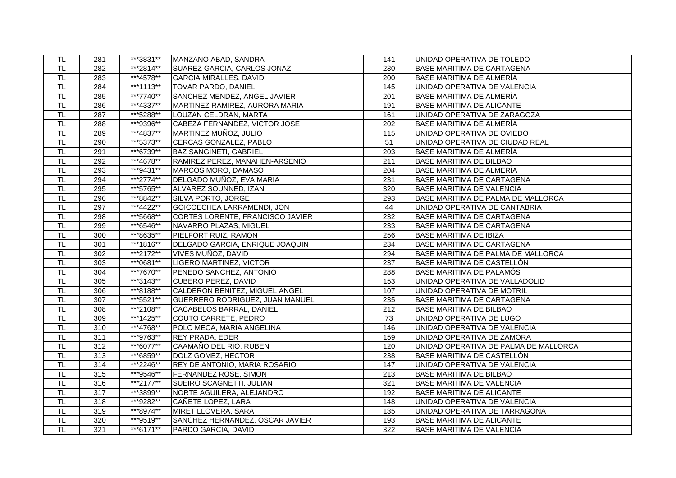| TL.                       | 281              | ***3831** | MANZANO ABAD, SANDRA                 | 141              | UNIDAD OPERATIVA DE TOLEDO            |
|---------------------------|------------------|-----------|--------------------------------------|------------------|---------------------------------------|
| TL                        | 282              | ***2814** | <b>SUAREZ GARCIA, CARLOS JONAZ</b>   | 230              | <b>BASE MARITIMA DE CARTAGENA</b>     |
| TL                        | 283              | ***4578** | <b>GARCIA MIRALLES, DAVID</b>        | 200              | BASE MARITIMA DE ALMERÍA              |
| <b>TL</b>                 | 284              | ***1113** | TOVAR PARDO, DANIEL                  | 145              | UNIDAD OPERATIVA DE VALENCIA          |
| $\overline{\sf TL}$       | 285              | ***7740** | SANCHEZ MENDEZ, ANGEL JAVIER         | 201              | <b>BASE MARITIMA DE ALMERÍA</b>       |
| TL                        | 286              | ***4337** | MARTINEZ RAMIREZ, AURORA MARIA       | 191              | <b>BASE MARITIMA DE ALICANTE</b>      |
| $\overline{\mathsf{TL}}$  | 287              | ***5288** | LOUZAN CELDRAN, MARTA                | 161              | UNIDAD OPERATIVA DE ZARAGOZA          |
| $\overline{\mathsf{T}}$   | 288              | ***9396** | CABEZA FERNANDEZ, VICTOR JOSE        | $\overline{202}$ | <b>BASE MARITIMA DE ALMERÍA</b>       |
| TL                        | 289              | ***4837** | MARTINEZ MUÑOZ, JULIO                | 115              | UNIDAD OPERATIVA DE OVIEDO            |
| TL                        | 290              | ***5373** | CERCAS GONZALEZ, PABLO               | 51               | UNIDAD OPERATIVA DE CIUDAD REAL       |
| $\overline{\mathsf{TL}}$  | 291              | ***6739** | <b>BAZ SANGINETI, GABRIEL</b>        | $\overline{203}$ | BASE MARITIMA DE ALMERÍA              |
| TL                        | 292              | ***4678** | RAMIREZ PEREZ, MANAHEN-ARSENIO       | $\overline{211}$ | <b>BASE MARITIMA DE BILBAO</b>        |
| TL                        | 293              | ***9431** | MARCOS MORO, DAMASO                  | 204              | <b>BASE MARITIMA DE ALMERÍA</b>       |
| $\overline{\sf TL}$       | 294              | ***2774** | DELGADO MUÑOZ, EVA MARIA             | 231              | <b>BASE MARITIMA DE CARTAGENA</b>     |
| TL                        | $\overline{295}$ | ***5765** | ALVAREZ SOUNNED, IZAN                | 320              | <b>BASE MARITIMA DE VALENCIA</b>      |
| $\overline{\mathsf{TL}}$  | 296              | ***8842** | <b>SILVA PORTO, JORGE</b>            | 293              | BASE MARITIMA DE PALMA DE MALLORCA    |
| TL                        | 297              | ***4422** | GOICOECHEA LARRAMENDI, JON           | $\overline{44}$  | UNIDAD OPERATIVA DE CANTABRIA         |
| $\overline{\mathsf{T}}$ L | 298              | ***5668** | CORTES LORENTE, FRANCISCO JAVIER     | 232              | <b>BASE MARITIMA DE CARTAGENA</b>     |
| T <sub>L</sub>            | 299              | ***6546** | NAVARRO PLAZAS, MIGUEL               | 233              | <b>BASE MARITIMA DE CARTAGENA</b>     |
| TL                        | 300              | ***8635** | <b>PIELFORT RUIZ, RAMON</b>          | 256              | <b>BASE MARITIMA DE IBIZA</b>         |
| TL                        | 301              | ***1816** | DELGADO GARCIA, ENRIQUE JOAQUIN      | 234              | <b>BASE MARITIMA DE CARTAGENA</b>     |
| $\overline{\mathsf{TL}}$  | 302              | ***2172** | VIVES MUÑOZ, DAVID                   | 294              | BASE MARITIMA DE PALMA DE MALLORCA    |
| $\overline{\mathsf{T}}$ L | 303              | ***0681** | LIGERO MARTINEZ, VICTOR              | $\overline{237}$ | BASE MARITIMA DE CASTELLÓN            |
| $\overline{\mathsf{L}}$   | 304              | ***7670** | PENEDO SANCHEZ, ANTONIO              | 288              | BASE MARITIMA DE PALAMÓS              |
| $\overline{\sf TL}$       | 305              | ***3143** | <b>CUBERO PEREZ, DAVID</b>           | 153              | UNIDAD OPERATIVA DE VALLADOLID        |
| TL.                       | 306              | ***8188** | CALDERON BENITEZ, MIGUEL ANGEL       | 107              | UNIDAD OPERATIVA DE MOTRIL            |
| $\overline{\mathsf{TL}}$  | $\overline{307}$ | ***5521** | GUERRERO RODRIGUEZ, JUAN MANUEL      | 235              | BASE MARITIMA DE CARTAGENA            |
| TL                        | 308              | ***2108** | CACABELOS BARRAL, DANIEL             | 212              | <b>BASE MARITIMA DE BILBAO</b>        |
| TL                        | 309              | ***1425** | COUTO CARRETE, PEDRO                 | 73               | UNIDAD OPERATIVA DE LUGO              |
| $\overline{\mathsf{T}}$ L | $\overline{310}$ | ***4768** | POLO MECA, MARIA ANGELINA            | 146              | UNIDAD OPERATIVA DE VALENCIA          |
| $\overline{\mathsf{TL}}$  | 311              | ***9763** | <b>REY PRADA, EDER</b>               | 159              | UNIDAD OPERATIVA DE ZAMORA            |
| TL                        | 312              | ***6077** | CAAMAÑO DEL RIO, RUBEN               | 120              | UNIDAD OPERATIVA DE PALMA DE MALLORCA |
| $\overline{\mathsf{TL}}$  | 313              | ***6859** | DOLZ GOMEZ, HECTOR                   | 238              | BASE MARITIMA DE CASTELLÓN            |
| TL                        | 314              | ***2246** | <b>REY DE ANTONIO, MARIA ROSARIO</b> | 147              | UNIDAD OPERATIVA DE VALENCIA          |
| $\overline{\mathsf{T}}$ L | 315              | ***9546** | <b>FERNANDEZ ROSE, SIMON</b>         | $\overline{213}$ | <b>BASE MARITIMA DE BILBAO</b>        |
| TL                        | 316              | ***2177** | <b>SUEIRO SCAGNETTI, JULIAN</b>      | 321              | <b>BASE MARITIMA DE VALENCIA</b>      |
| TL                        | $\overline{317}$ | ***3899** | NORTE AGUILERA, ALEJANDRO            | 192              | <b>BASE MARITIMA DE ALICANTE</b>      |
| $\overline{\mathsf{TL}}$  | 318              | ***9282** | CAÑETE LOPEZ, LARA                   | 148              | UNIDAD OPERATIVA DE VALENCIA          |
| TL                        | 319              | ***8974** | MIRET LLOVERA, SARA                  | $\overline{135}$ | UNIDAD OPERATIVA DE TARRAGONA         |
| $\overline{\mathsf{L}}$   | 320              | ***9519** | SANCHEZ HERNANDEZ, OSCAR JAVIER      | 193              | <b>BASE MARITIMA DE ALICANTE</b>      |
| TL                        | 321              | ***6171** | PARDO GARCIA, DAVID                  | 322              | <b>BASE MARITIMA DE VALENCIA</b>      |